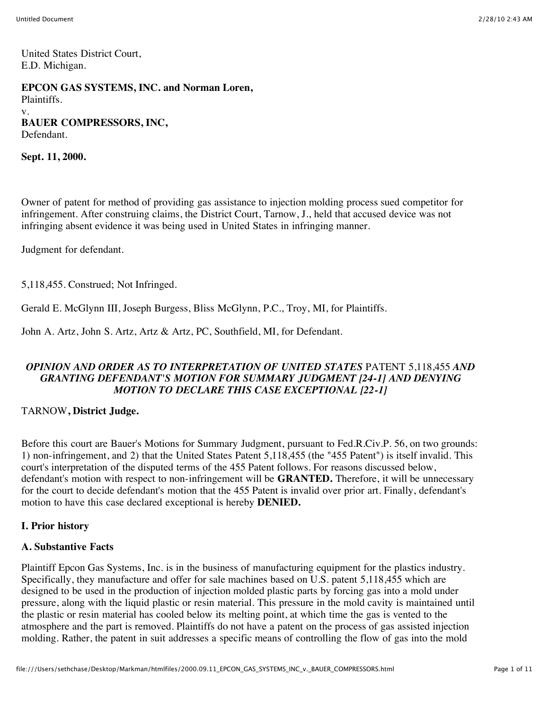United States District Court, E.D. Michigan.

**EPCON GAS SYSTEMS, INC. and Norman Loren,** Plaintiffs. v. **BAUER COMPRESSORS, INC,** Defendant.

**Sept. 11, 2000.**

Owner of patent for method of providing gas assistance to injection molding process sued competitor for infringement. After construing claims, the District Court, Tarnow, J., held that accused device was not infringing absent evidence it was being used in United States in infringing manner.

Judgment for defendant.

5,118,455. Construed; Not Infringed.

Gerald E. McGlynn III, Joseph Burgess, Bliss McGlynn, P.C., Troy, MI, for Plaintiffs.

John A. Artz, John S. Artz, Artz & Artz, PC, Southfield, MI, for Defendant.

### *OPINION AND ORDER AS TO INTERPRETATION OF UNITED STATES* PATENT 5,118,455 *AND GRANTING DEFENDANT'S MOTION FOR SUMMARY JUDGMENT [24-1] AND DENYING MOTION TO DECLARE THIS CASE EXCEPTIONAL [22-1]*

#### TARNOW**, District Judge.**

Before this court are Bauer's Motions for Summary Judgment, pursuant to Fed.R.Civ.P. 56, on two grounds: 1) non-infringement, and 2) that the United States Patent 5,118,455 (the "455 Patent") is itself invalid. This court's interpretation of the disputed terms of the 455 Patent follows. For reasons discussed below, defendant's motion with respect to non-infringement will be **GRANTED.** Therefore, it will be unnecessary for the court to decide defendant's motion that the 455 Patent is invalid over prior art. Finally, defendant's motion to have this case declared exceptional is hereby **DENIED.**

### **I. Prior history**

### **A. Substantive Facts**

Plaintiff Epcon Gas Systems, Inc. is in the business of manufacturing equipment for the plastics industry. Specifically, they manufacture and offer for sale machines based on U.S. patent 5,118,455 which are designed to be used in the production of injection molded plastic parts by forcing gas into a mold under pressure, along with the liquid plastic or resin material. This pressure in the mold cavity is maintained until the plastic or resin material has cooled below its melting point, at which time the gas is vented to the atmosphere and the part is removed. Plaintiffs do not have a patent on the process of gas assisted injection molding. Rather, the patent in suit addresses a specific means of controlling the flow of gas into the mold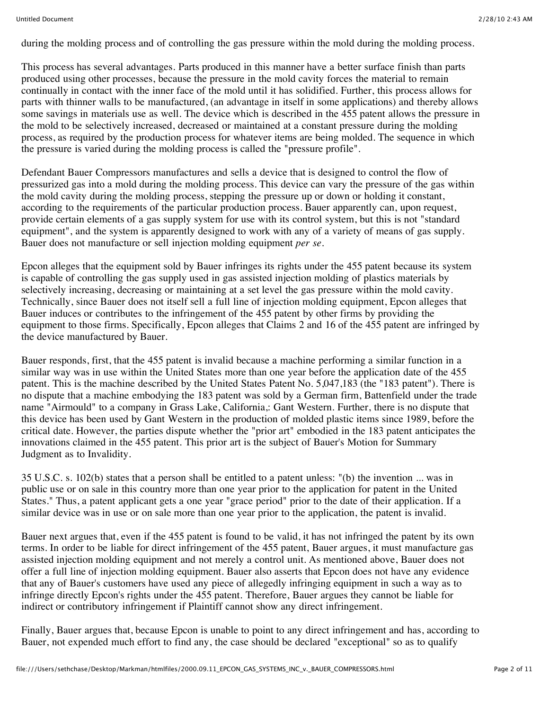during the molding process and of controlling the gas pressure within the mold during the molding process.

This process has several advantages. Parts produced in this manner have a better surface finish than parts produced using other processes, because the pressure in the mold cavity forces the material to remain continually in contact with the inner face of the mold until it has solidified. Further, this process allows for parts with thinner walls to be manufactured, (an advantage in itself in some applications) and thereby allows some savings in materials use as well. The device which is described in the 455 patent allows the pressure in the mold to be selectively increased, decreased or maintained at a constant pressure during the molding process, as required by the production process for whatever items are being molded. The sequence in which the pressure is varied during the molding process is called the "pressure profile".

Defendant Bauer Compressors manufactures and sells a device that is designed to control the flow of pressurized gas into a mold during the molding process. This device can vary the pressure of the gas within the mold cavity during the molding process, stepping the pressure up or down or holding it constant, according to the requirements of the particular production process. Bauer apparently can, upon request, provide certain elements of a gas supply system for use with its control system, but this is not "standard equipment", and the system is apparently designed to work with any of a variety of means of gas supply. Bauer does not manufacture or sell injection molding equipment *per se.*

Epcon alleges that the equipment sold by Bauer infringes its rights under the 455 patent because its system is capable of controlling the gas supply used in gas assisted injection molding of plastics materials by selectively increasing, decreasing or maintaining at a set level the gas pressure within the mold cavity. Technically, since Bauer does not itself sell a full line of injection molding equipment, Epcon alleges that Bauer induces or contributes to the infringement of the 455 patent by other firms by providing the equipment to those firms. Specifically, Epcon alleges that Claims 2 and 16 of the 455 patent are infringed by the device manufactured by Bauer.

Bauer responds, first, that the 455 patent is invalid because a machine performing a similar function in a similar way was in use within the United States more than one year before the application date of the 455 patent. This is the machine described by the United States Patent No. 5,047,183 (the "183 patent"). There is no dispute that a machine embodying the 183 patent was sold by a German firm, Battenfield under the trade name "Airmould" to a company in Grass Lake, California,: Gant Western. Further, there is no dispute that this device has been used by Gant Western in the production of molded plastic items since 1989, before the critical date. However, the parties dispute whether the "prior art" embodied in the 183 patent anticipates the innovations claimed in the 455 patent. This prior art is the subject of Bauer's Motion for Summary Judgment as to Invalidity.

35 U.S.C. s. 102(b) states that a person shall be entitled to a patent unless: "(b) the invention ... was in public use or on sale in this country more than one year prior to the application for patent in the United States." Thus, a patent applicant gets a one year "grace period" prior to the date of their application. If a similar device was in use or on sale more than one year prior to the application, the patent is invalid.

Bauer next argues that, even if the 455 patent is found to be valid, it has not infringed the patent by its own terms. In order to be liable for direct infringement of the 455 patent, Bauer argues, it must manufacture gas assisted injection molding equipment and not merely a control unit. As mentioned above, Bauer does not offer a full line of injection molding equipment. Bauer also asserts that Epcon does not have any evidence that any of Bauer's customers have used any piece of allegedly infringing equipment in such a way as to infringe directly Epcon's rights under the 455 patent. Therefore, Bauer argues they cannot be liable for indirect or contributory infringement if Plaintiff cannot show any direct infringement.

Finally, Bauer argues that, because Epcon is unable to point to any direct infringement and has, according to Bauer, not expended much effort to find any, the case should be declared "exceptional" so as to qualify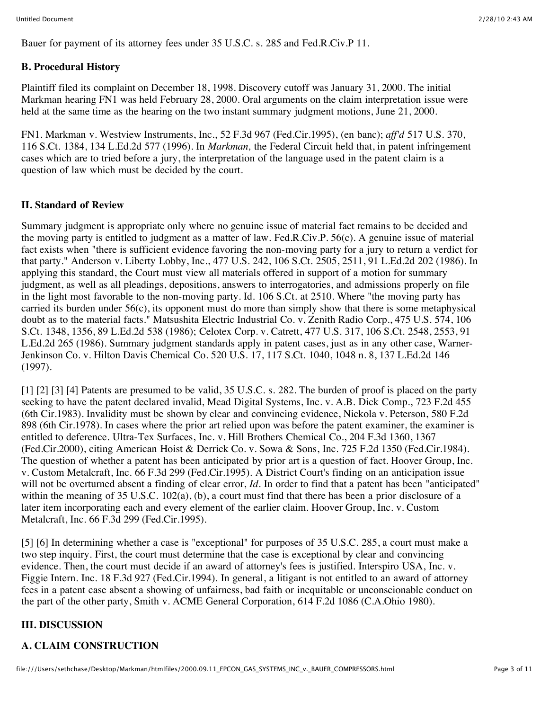Bauer for payment of its attorney fees under 35 U.S.C. s. 285 and Fed.R.Civ.P 11.

### **B. Procedural History**

Plaintiff filed its complaint on December 18, 1998. Discovery cutoff was January 31, 2000. The initial Markman hearing FN1 was held February 28, 2000. Oral arguments on the claim interpretation issue were held at the same time as the hearing on the two instant summary judgment motions, June 21, 2000.

FN1. Markman v. Westview Instruments, Inc., 52 F.3d 967 (Fed.Cir.1995), (en banc); *aff'd* 517 U.S. 370, 116 S.Ct. 1384, 134 L.Ed.2d 577 (1996). In *Markman,* the Federal Circuit held that, in patent infringement cases which are to tried before a jury, the interpretation of the language used in the patent claim is a question of law which must be decided by the court.

### **II. Standard of Review**

Summary judgment is appropriate only where no genuine issue of material fact remains to be decided and the moving party is entitled to judgment as a matter of law. Fed.R.Civ.P. 56(c). A genuine issue of material fact exists when "there is sufficient evidence favoring the non-moving party for a jury to return a verdict for that party." Anderson v. Liberty Lobby, Inc., 477 U.S. 242, 106 S.Ct. 2505, 2511, 91 L.Ed.2d 202 (1986). In applying this standard, the Court must view all materials offered in support of a motion for summary judgment, as well as all pleadings, depositions, answers to interrogatories, and admissions properly on file in the light most favorable to the non-moving party. Id. 106 S.Ct. at 2510. Where "the moving party has carried its burden under 56(c), its opponent must do more than simply show that there is some metaphysical doubt as to the material facts." Matsushita Electric Industrial Co. v. Zenith Radio Corp., 475 U.S. 574, 106 S.Ct. 1348, 1356, 89 L.Ed.2d 538 (1986); Celotex Corp. v. Catrett, 477 U.S. 317, 106 S.Ct. 2548, 2553, 91 L.Ed.2d 265 (1986). Summary judgment standards apply in patent cases, just as in any other case, Warner-Jenkinson Co. v. Hilton Davis Chemical Co. 520 U.S. 17, 117 S.Ct. 1040, 1048 n. 8, 137 L.Ed.2d 146 (1997).

[1] [2] [3] [4] Patents are presumed to be valid, 35 U.S.C. s. 282. The burden of proof is placed on the party seeking to have the patent declared invalid, Mead Digital Systems, Inc. v. A.B. Dick Comp., 723 F.2d 455 (6th Cir.1983). Invalidity must be shown by clear and convincing evidence, Nickola v. Peterson, 580 F.2d 898 (6th Cir.1978). In cases where the prior art relied upon was before the patent examiner, the examiner is entitled to deference. Ultra-Tex Surfaces, Inc. v. Hill Brothers Chemical Co., 204 F.3d 1360, 1367 (Fed.Cir.2000), citing American Hoist & Derrick Co. v. Sowa & Sons, Inc. 725 F.2d 1350 (Fed.Cir.1984). The question of whether a patent has been anticipated by prior art is a question of fact. Hoover Group, Inc. v. Custom Metalcraft, Inc. 66 F.3d 299 (Fed.Cir.1995). A District Court's finding on an anticipation issue will not be overturned absent a finding of clear error, *Id*. In order to find that a patent has been "anticipated" within the meaning of 35 U.S.C. 102(a), (b), a court must find that there has been a prior disclosure of a later item incorporating each and every element of the earlier claim. Hoover Group, Inc. v. Custom Metalcraft, Inc. 66 F.3d 299 (Fed.Cir.1995).

[5] [6] In determining whether a case is "exceptional" for purposes of 35 U.S.C. 285, a court must make a two step inquiry. First, the court must determine that the case is exceptional by clear and convincing evidence. Then, the court must decide if an award of attorney's fees is justified. Interspiro USA, Inc. v. Figgie Intern. Inc. 18 F.3d 927 (Fed.Cir.1994). In general, a litigant is not entitled to an award of attorney fees in a patent case absent a showing of unfairness, bad faith or inequitable or unconscionable conduct on the part of the other party, Smith v. ACME General Corporation, 614 F.2d 1086 (C.A.Ohio 1980).

## **III. DISCUSSION**

# **A. CLAIM CONSTRUCTION**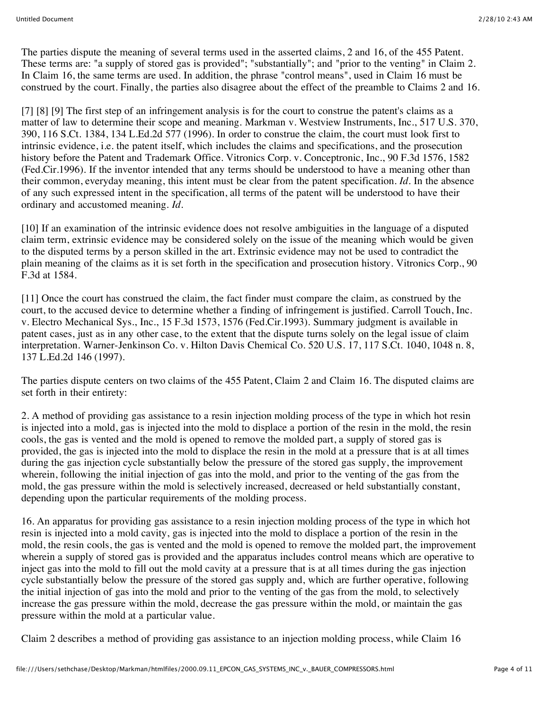The parties dispute the meaning of several terms used in the asserted claims, 2 and 16, of the 455 Patent. These terms are: "a supply of stored gas is provided"; "substantially"; and "prior to the venting" in Claim 2. In Claim 16, the same terms are used. In addition, the phrase "control means", used in Claim 16 must be construed by the court. Finally, the parties also disagree about the effect of the preamble to Claims 2 and 16.

[7] [8] [9] The first step of an infringement analysis is for the court to construe the patent's claims as a matter of law to determine their scope and meaning. Markman v. Westview Instruments, Inc., 517 U.S. 370, 390, 116 S.Ct. 1384, 134 L.Ed.2d 577 (1996). In order to construe the claim, the court must look first to intrinsic evidence, i.e. the patent itself, which includes the claims and specifications, and the prosecution history before the Patent and Trademark Office. Vitronics Corp. v. Conceptronic, Inc., 90 F.3d 1576, 1582 (Fed.Cir.1996). If the inventor intended that any terms should be understood to have a meaning other than their common, everyday meaning, this intent must be clear from the patent specification. *Id.* In the absence of any such expressed intent in the specification, all terms of the patent will be understood to have their ordinary and accustomed meaning. *Id.*

[10] If an examination of the intrinsic evidence does not resolve ambiguities in the language of a disputed claim term, extrinsic evidence may be considered solely on the issue of the meaning which would be given to the disputed terms by a person skilled in the art. Extrinsic evidence may not be used to contradict the plain meaning of the claims as it is set forth in the specification and prosecution history. Vitronics Corp., 90 F.3d at 1584.

[11] Once the court has construed the claim, the fact finder must compare the claim, as construed by the court, to the accused device to determine whether a finding of infringement is justified. Carroll Touch, Inc. v. Electro Mechanical Sys., Inc., 15 F.3d 1573, 1576 (Fed.Cir.1993). Summary judgment is available in patent cases, just as in any other case, to the extent that the dispute turns solely on the legal issue of claim interpretation. Warner-Jenkinson Co. v. Hilton Davis Chemical Co. 520 U.S. 17, 117 S.Ct. 1040, 1048 n. 8, 137 L.Ed.2d 146 (1997).

The parties dispute centers on two claims of the 455 Patent, Claim 2 and Claim 16. The disputed claims are set forth in their entirety:

2. A method of providing gas assistance to a resin injection molding process of the type in which hot resin is injected into a mold, gas is injected into the mold to displace a portion of the resin in the mold, the resin cools, the gas is vented and the mold is opened to remove the molded part, a supply of stored gas is provided, the gas is injected into the mold to displace the resin in the mold at a pressure that is at all times during the gas injection cycle substantially below the pressure of the stored gas supply, the improvement wherein, following the initial injection of gas into the mold, and prior to the venting of the gas from the mold, the gas pressure within the mold is selectively increased, decreased or held substantially constant, depending upon the particular requirements of the molding process.

16. An apparatus for providing gas assistance to a resin injection molding process of the type in which hot resin is injected into a mold cavity, gas is injected into the mold to displace a portion of the resin in the mold, the resin cools, the gas is vented and the mold is opened to remove the molded part, the improvement wherein a supply of stored gas is provided and the apparatus includes control means which are operative to inject gas into the mold to fill out the mold cavity at a pressure that is at all times during the gas injection cycle substantially below the pressure of the stored gas supply and, which are further operative, following the initial injection of gas into the mold and prior to the venting of the gas from the mold, to selectively increase the gas pressure within the mold, decrease the gas pressure within the mold, or maintain the gas pressure within the mold at a particular value.

Claim 2 describes a method of providing gas assistance to an injection molding process, while Claim 16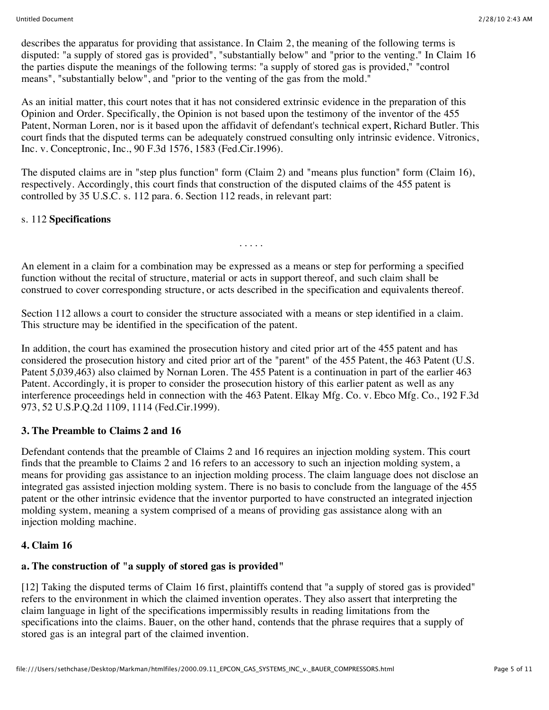describes the apparatus for providing that assistance. In Claim 2, the meaning of the following terms is disputed: "a supply of stored gas is provided", "substantially below" and "prior to the venting." In Claim 16 the parties dispute the meanings of the following terms: "a supply of stored gas is provided," "control means", "substantially below", and "prior to the venting of the gas from the mold."

As an initial matter, this court notes that it has not considered extrinsic evidence in the preparation of this Opinion and Order. Specifically, the Opinion is not based upon the testimony of the inventor of the 455 Patent, Norman Loren, nor is it based upon the affidavit of defendant's technical expert, Richard Butler. This court finds that the disputed terms can be adequately construed consulting only intrinsic evidence. Vitronics, Inc. v. Conceptronic, Inc., 90 F.3d 1576, 1583 (Fed.Cir.1996).

The disputed claims are in "step plus function" form (Claim 2) and "means plus function" form (Claim 16), respectively. Accordingly, this court finds that construction of the disputed claims of the 455 patent is controlled by 35 U.S.C. s. 112 para. 6. Section 112 reads, in relevant part:

### s. 112 **Specifications**

. . . . .

An element in a claim for a combination may be expressed as a means or step for performing a specified function without the recital of structure, material or acts in support thereof, and such claim shall be construed to cover corresponding structure, or acts described in the specification and equivalents thereof.

Section 112 allows a court to consider the structure associated with a means or step identified in a claim. This structure may be identified in the specification of the patent.

In addition, the court has examined the prosecution history and cited prior art of the 455 patent and has considered the prosecution history and cited prior art of the "parent" of the 455 Patent, the 463 Patent (U.S. Patent 5,039,463) also claimed by Nornan Loren. The 455 Patent is a continuation in part of the earlier 463 Patent. Accordingly, it is proper to consider the prosecution history of this earlier patent as well as any interference proceedings held in connection with the 463 Patent. Elkay Mfg. Co. v. Ebco Mfg. Co., 192 F.3d 973, 52 U.S.P.Q.2d 1109, 1114 (Fed.Cir.1999).

### **3. The Preamble to Claims 2 and 16**

Defendant contends that the preamble of Claims 2 and 16 requires an injection molding system. This court finds that the preamble to Claims 2 and 16 refers to an accessory to such an injection molding system, a means for providing gas assistance to an injection molding process. The claim language does not disclose an integrated gas assisted injection molding system. There is no basis to conclude from the language of the 455 patent or the other intrinsic evidence that the inventor purported to have constructed an integrated injection molding system, meaning a system comprised of a means of providing gas assistance along with an injection molding machine.

## **4. Claim 16**

## **a. The construction of "a supply of stored gas is provided"**

[12] Taking the disputed terms of Claim 16 first, plaintiffs contend that "a supply of stored gas is provided" refers to the environment in which the claimed invention operates. They also assert that interpreting the claim language in light of the specifications impermissibly results in reading limitations from the specifications into the claims. Bauer, on the other hand, contends that the phrase requires that a supply of stored gas is an integral part of the claimed invention.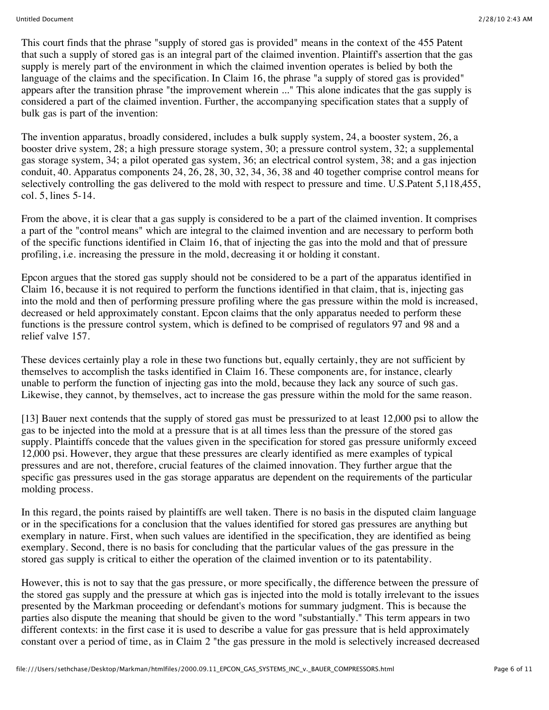This court finds that the phrase "supply of stored gas is provided" means in the context of the 455 Patent that such a supply of stored gas is an integral part of the claimed invention. Plaintiff's assertion that the gas supply is merely part of the environment in which the claimed invention operates is belied by both the language of the claims and the specification. In Claim 16, the phrase "a supply of stored gas is provided" appears after the transition phrase "the improvement wherein ..." This alone indicates that the gas supply is considered a part of the claimed invention. Further, the accompanying specification states that a supply of bulk gas is part of the invention:

The invention apparatus, broadly considered, includes a bulk supply system, 24, a booster system, 26, a booster drive system, 28; a high pressure storage system, 30; a pressure control system, 32; a supplemental gas storage system, 34; a pilot operated gas system, 36; an electrical control system, 38; and a gas injection conduit, 40. Apparatus components 24, 26, 28, 30, 32, 34, 36, 38 and 40 together comprise control means for selectively controlling the gas delivered to the mold with respect to pressure and time. U.S.Patent 5,118,455, col. 5, lines 5-14.

From the above, it is clear that a gas supply is considered to be a part of the claimed invention. It comprises a part of the "control means" which are integral to the claimed invention and are necessary to perform both of the specific functions identified in Claim 16, that of injecting the gas into the mold and that of pressure profiling, i.e. increasing the pressure in the mold, decreasing it or holding it constant.

Epcon argues that the stored gas supply should not be considered to be a part of the apparatus identified in Claim 16, because it is not required to perform the functions identified in that claim, that is, injecting gas into the mold and then of performing pressure profiling where the gas pressure within the mold is increased, decreased or held approximately constant. Epcon claims that the only apparatus needed to perform these functions is the pressure control system, which is defined to be comprised of regulators 97 and 98 and a relief valve 157.

These devices certainly play a role in these two functions but, equally certainly, they are not sufficient by themselves to accomplish the tasks identified in Claim 16. These components are, for instance, clearly unable to perform the function of injecting gas into the mold, because they lack any source of such gas. Likewise, they cannot, by themselves, act to increase the gas pressure within the mold for the same reason.

[13] Bauer next contends that the supply of stored gas must be pressurized to at least 12,000 psi to allow the gas to be injected into the mold at a pressure that is at all times less than the pressure of the stored gas supply. Plaintiffs concede that the values given in the specification for stored gas pressure uniformly exceed 12,000 psi. However, they argue that these pressures are clearly identified as mere examples of typical pressures and are not, therefore, crucial features of the claimed innovation. They further argue that the specific gas pressures used in the gas storage apparatus are dependent on the requirements of the particular molding process.

In this regard, the points raised by plaintiffs are well taken. There is no basis in the disputed claim language or in the specifications for a conclusion that the values identified for stored gas pressures are anything but exemplary in nature. First, when such values are identified in the specification, they are identified as being exemplary. Second, there is no basis for concluding that the particular values of the gas pressure in the stored gas supply is critical to either the operation of the claimed invention or to its patentability.

However, this is not to say that the gas pressure, or more specifically, the difference between the pressure of the stored gas supply and the pressure at which gas is injected into the mold is totally irrelevant to the issues presented by the Markman proceeding or defendant's motions for summary judgment. This is because the parties also dispute the meaning that should be given to the word "substantially." This term appears in two different contexts: in the first case it is used to describe a value for gas pressure that is held approximately constant over a period of time, as in Claim 2 "the gas pressure in the mold is selectively increased decreased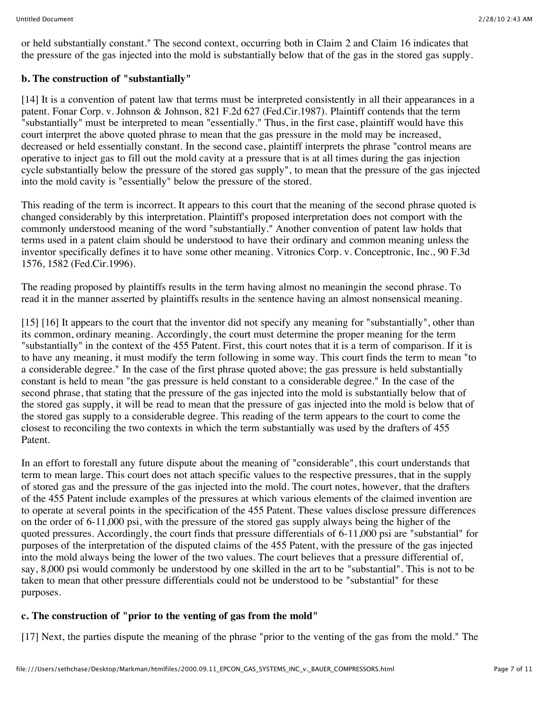or held substantially constant." The second context, occurring both in Claim 2 and Claim 16 indicates that the pressure of the gas injected into the mold is substantially below that of the gas in the stored gas supply.

### **b. The construction of "substantially"**

[14] It is a convention of patent law that terms must be interpreted consistently in all their appearances in a patent. Fonar Corp. v. Johnson & Johnson, 821 F.2d 627 (Fed.Cir.1987). Plaintiff contends that the term "substantially" must be interpreted to mean "essentially." Thus, in the first case, plaintiff would have this court interpret the above quoted phrase to mean that the gas pressure in the mold may be increased, decreased or held essentially constant. In the second case, plaintiff interprets the phrase "control means are operative to inject gas to fill out the mold cavity at a pressure that is at all times during the gas injection cycle substantially below the pressure of the stored gas supply", to mean that the pressure of the gas injected into the mold cavity is "essentially" below the pressure of the stored.

This reading of the term is incorrect. It appears to this court that the meaning of the second phrase quoted is changed considerably by this interpretation. Plaintiff's proposed interpretation does not comport with the commonly understood meaning of the word "substantially." Another convention of patent law holds that terms used in a patent claim should be understood to have their ordinary and common meaning unless the inventor specifically defines it to have some other meaning. Vitronics Corp. v. Conceptronic, Inc., 90 F.3d 1576, 1582 (Fed.Cir.1996).

The reading proposed by plaintiffs results in the term having almost no meaningin the second phrase. To read it in the manner asserted by plaintiffs results in the sentence having an almost nonsensical meaning.

[15] [16] It appears to the court that the inventor did not specify any meaning for "substantially", other than its common, ordinary meaning. Accordingly, the court must determine the proper meaning for the term "substantially" in the context of the 455 Patent. First, this court notes that it is a term of comparison. If it is to have any meaning, it must modify the term following in some way. This court finds the term to mean "to a considerable degree." In the case of the first phrase quoted above; the gas pressure is held substantially constant is held to mean "the gas pressure is held constant to a considerable degree." In the case of the second phrase, that stating that the pressure of the gas injected into the mold is substantially below that of the stored gas supply, it will be read to mean that the pressure of gas injected into the mold is below that of the stored gas supply to a considerable degree. This reading of the term appears to the court to come the closest to reconciling the two contexts in which the term substantially was used by the drafters of 455 Patent.

In an effort to forestall any future dispute about the meaning of "considerable", this court understands that term to mean large. This court does not attach specific values to the respective pressures, that in the supply of stored gas and the pressure of the gas injected into the mold. The court notes, however, that the drafters of the 455 Patent include examples of the pressures at which various elements of the claimed invention are to operate at several points in the specification of the 455 Patent. These values disclose pressure differences on the order of 6-11,000 psi, with the pressure of the stored gas supply always being the higher of the quoted pressures. Accordingly, the court finds that pressure differentials of 6-11,000 psi are "substantial" for purposes of the interpretation of the disputed claims of the 455 Patent, with the pressure of the gas injected into the mold always being the lower of the two values. The court believes that a pressure differential of, say, 8,000 psi would commonly be understood by one skilled in the art to be "substantial". This is not to be taken to mean that other pressure differentials could not be understood to be "substantial" for these purposes.

### **c. The construction of "prior to the venting of gas from the mold"**

[17] Next, the parties dispute the meaning of the phrase "prior to the venting of the gas from the mold." The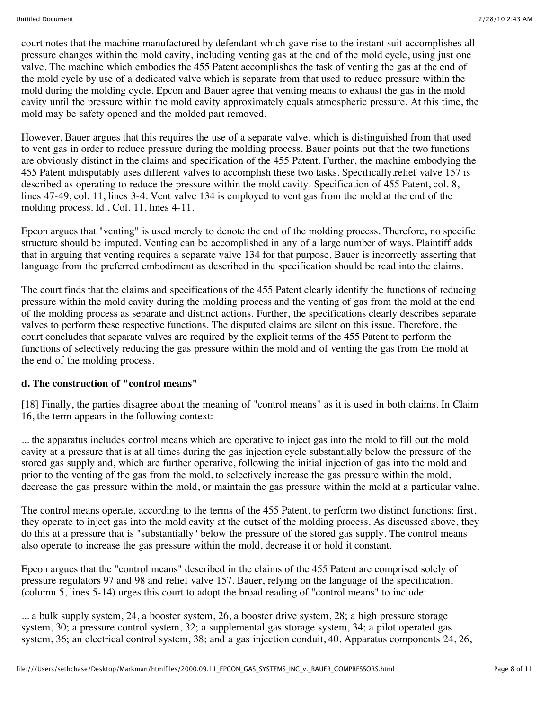court notes that the machine manufactured by defendant which gave rise to the instant suit accomplishes all pressure changes within the mold cavity, including venting gas at the end of the mold cycle, using just one valve. The machine which embodies the 455 Patent accomplishes the task of venting the gas at the end of the mold cycle by use of a dedicated valve which is separate from that used to reduce pressure within the mold during the molding cycle. Epcon and Bauer agree that venting means to exhaust the gas in the mold cavity until the pressure within the mold cavity approximately equals atmospheric pressure. At this time, the mold may be safety opened and the molded part removed.

However, Bauer argues that this requires the use of a separate valve, which is distinguished from that used to vent gas in order to reduce pressure during the molding process. Bauer points out that the two functions are obviously distinct in the claims and specification of the 455 Patent. Further, the machine embodying the 455 Patent indisputably uses different valves to accomplish these two tasks. Specifically,relief valve 157 is described as operating to reduce the pressure within the mold cavity. Specification of 455 Patent, col. 8, lines 47-49, col. 11, lines 3-4. Vent valve 134 is employed to vent gas from the mold at the end of the molding process. Id., Col. 11, lines 4-11.

Epcon argues that "venting" is used merely to denote the end of the molding process. Therefore, no specific structure should be imputed. Venting can be accomplished in any of a large number of ways. Plaintiff adds that in arguing that venting requires a separate valve 134 for that purpose, Bauer is incorrectly asserting that language from the preferred embodiment as described in the specification should be read into the claims.

The court finds that the claims and specifications of the 455 Patent clearly identify the functions of reducing pressure within the mold cavity during the molding process and the venting of gas from the mold at the end of the molding process as separate and distinct actions. Further, the specifications clearly describes separate valves to perform these respective functions. The disputed claims are silent on this issue. Therefore, the court concludes that separate valves are required by the explicit terms of the 455 Patent to perform the functions of selectively reducing the gas pressure within the mold and of venting the gas from the mold at the end of the molding process.

### **d. The construction of "control means"**

[18] Finally, the parties disagree about the meaning of "control means" as it is used in both claims. In Claim 16, the term appears in the following context:

... the apparatus includes control means which are operative to inject gas into the mold to fill out the mold cavity at a pressure that is at all times during the gas injection cycle substantially below the pressure of the stored gas supply and, which are further operative, following the initial injection of gas into the mold and prior to the venting of the gas from the mold, to selectively increase the gas pressure within the mold, decrease the gas pressure within the mold, or maintain the gas pressure within the mold at a particular value.

The control means operate, according to the terms of the 455 Patent, to perform two distinct functions: first, they operate to inject gas into the mold cavity at the outset of the molding process. As discussed above, they do this at a pressure that is "substantially" below the pressure of the stored gas supply. The control means also operate to increase the gas pressure within the mold, decrease it or hold it constant.

Epcon argues that the "control means" described in the claims of the 455 Patent are comprised solely of pressure regulators 97 and 98 and relief valve 157. Bauer, relying on the language of the specification, (column 5, lines 5-14) urges this court to adopt the broad reading of "control means" to include:

... a bulk supply system, 24, a booster system, 26, a booster drive system, 28; a high pressure storage system, 30; a pressure control system, 32; a supplemental gas storage system, 34; a pilot operated gas system, 36; an electrical control system, 38; and a gas injection conduit, 40. Apparatus components 24, 26,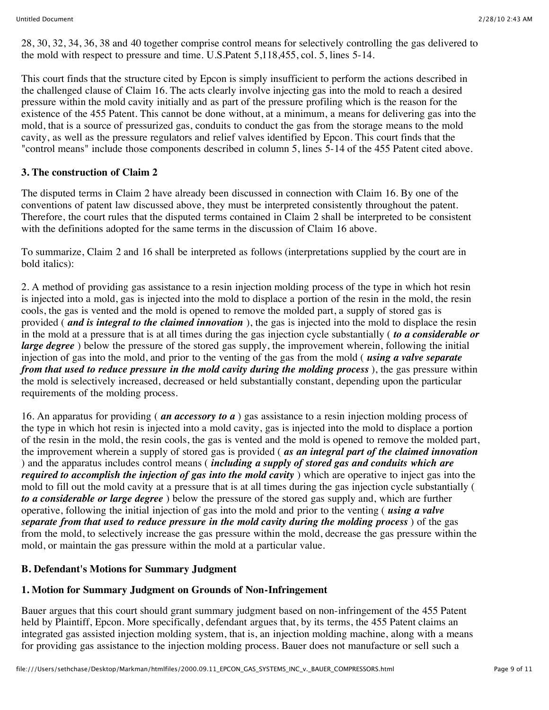28, 30, 32, 34, 36, 38 and 40 together comprise control means for selectively controlling the gas delivered to the mold with respect to pressure and time. U.S.Patent 5,118,455, col. 5, lines 5-14.

This court finds that the structure cited by Epcon is simply insufficient to perform the actions described in the challenged clause of Claim 16. The acts clearly involve injecting gas into the mold to reach a desired pressure within the mold cavity initially and as part of the pressure profiling which is the reason for the existence of the 455 Patent. This cannot be done without, at a minimum, a means for delivering gas into the mold, that is a source of pressurized gas, conduits to conduct the gas from the storage means to the mold cavity, as well as the pressure regulators and relief valves identified by Epcon. This court finds that the "control means" include those components described in column 5, lines 5-14 of the 455 Patent cited above.

### **3. The construction of Claim 2**

The disputed terms in Claim 2 have already been discussed in connection with Claim 16. By one of the conventions of patent law discussed above, they must be interpreted consistently throughout the patent. Therefore, the court rules that the disputed terms contained in Claim 2 shall be interpreted to be consistent with the definitions adopted for the same terms in the discussion of Claim 16 above.

To summarize, Claim 2 and 16 shall be interpreted as follows (interpretations supplied by the court are in bold italics):

2. A method of providing gas assistance to a resin injection molding process of the type in which hot resin is injected into a mold, gas is injected into the mold to displace a portion of the resin in the mold, the resin cools, the gas is vented and the mold is opened to remove the molded part, a supply of stored gas is provided ( *and is integral to the claimed innovation* ), the gas is injected into the mold to displace the resin in the mold at a pressure that is at all times during the gas injection cycle substantially ( *to a considerable or large degree* ) below the pressure of the stored gas supply, the improvement wherein, following the initial injection of gas into the mold, and prior to the venting of the gas from the mold ( *using a valve separate from that used to reduce pressure in the mold cavity during the molding process* ), the gas pressure within the mold is selectively increased, decreased or held substantially constant, depending upon the particular requirements of the molding process.

16. An apparatus for providing ( *an accessory to a* ) gas assistance to a resin injection molding process of the type in which hot resin is injected into a mold cavity, gas is injected into the mold to displace a portion of the resin in the mold, the resin cools, the gas is vented and the mold is opened to remove the molded part, the improvement wherein a supply of stored gas is provided ( *as an integral part of the claimed innovation* ) and the apparatus includes control means ( *including a supply of stored gas and conduits which are required to accomplish the injection of gas into the mold cavity* ) which are operative to inject gas into the mold to fill out the mold cavity at a pressure that is at all times during the gas injection cycle substantially ( *to a considerable or large degree* ) below the pressure of the stored gas supply and, which are further operative, following the initial injection of gas into the mold and prior to the venting ( *using a valve separate from that used to reduce pressure in the mold cavity during the molding process* ) of the gas from the mold, to selectively increase the gas pressure within the mold, decrease the gas pressure within the mold, or maintain the gas pressure within the mold at a particular value.

## **B. Defendant's Motions for Summary Judgment**

### **1. Motion for Summary Judgment on Grounds of Non-Infringement**

Bauer argues that this court should grant summary judgment based on non-infringement of the 455 Patent held by Plaintiff, Epcon. More specifically, defendant argues that, by its terms, the 455 Patent claims an integrated gas assisted injection molding system, that is, an injection molding machine, along with a means for providing gas assistance to the injection molding process. Bauer does not manufacture or sell such a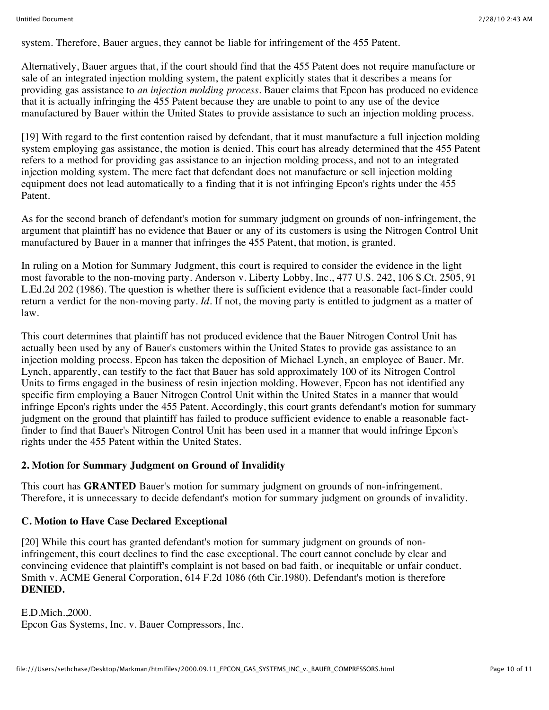system. Therefore, Bauer argues, they cannot be liable for infringement of the 455 Patent.

Alternatively, Bauer argues that, if the court should find that the 455 Patent does not require manufacture or sale of an integrated injection molding system, the patent explicitly states that it describes a means for providing gas assistance to *an injection molding process.* Bauer claims that Epcon has produced no evidence that it is actually infringing the 455 Patent because they are unable to point to any use of the device manufactured by Bauer within the United States to provide assistance to such an injection molding process.

[19] With regard to the first contention raised by defendant, that it must manufacture a full injection molding system employing gas assistance, the motion is denied. This court has already determined that the 455 Patent refers to a method for providing gas assistance to an injection molding process, and not to an integrated injection molding system. The mere fact that defendant does not manufacture or sell injection molding equipment does not lead automatically to a finding that it is not infringing Epcon's rights under the 455 Patent.

As for the second branch of defendant's motion for summary judgment on grounds of non-infringement, the argument that plaintiff has no evidence that Bauer or any of its customers is using the Nitrogen Control Unit manufactured by Bauer in a manner that infringes the 455 Patent, that motion, is granted.

In ruling on a Motion for Summary Judgment, this court is required to consider the evidence in the light most favorable to the non-moving party. Anderson v. Liberty Lobby, Inc., 477 U.S. 242, 106 S.Ct. 2505, 91 L.Ed.2d 202 (1986). The question is whether there is sufficient evidence that a reasonable fact-finder could return a verdict for the non-moving party. *Id.* If not, the moving party is entitled to judgment as a matter of law.

This court determines that plaintiff has not produced evidence that the Bauer Nitrogen Control Unit has actually been used by any of Bauer's customers within the United States to provide gas assistance to an injection molding process. Epcon has taken the deposition of Michael Lynch, an employee of Bauer. Mr. Lynch, apparently, can testify to the fact that Bauer has sold approximately 100 of its Nitrogen Control Units to firms engaged in the business of resin injection molding. However, Epcon has not identified any specific firm employing a Bauer Nitrogen Control Unit within the United States in a manner that would infringe Epcon's rights under the 455 Patent. Accordingly, this court grants defendant's motion for summary judgment on the ground that plaintiff has failed to produce sufficient evidence to enable a reasonable factfinder to find that Bauer's Nitrogen Control Unit has been used in a manner that would infringe Epcon's rights under the 455 Patent within the United States.

## **2. Motion for Summary Judgment on Ground of Invalidity**

This court has **GRANTED** Bauer's motion for summary judgment on grounds of non-infringement. Therefore, it is unnecessary to decide defendant's motion for summary judgment on grounds of invalidity.

# **C. Motion to Have Case Declared Exceptional**

[20] While this court has granted defendant's motion for summary judgment on grounds of noninfringement, this court declines to find the case exceptional. The court cannot conclude by clear and convincing evidence that plaintiff's complaint is not based on bad faith, or inequitable or unfair conduct. Smith v. ACME General Corporation, 614 F.2d 1086 (6th Cir.1980). Defendant's motion is therefore **DENIED.**

E.D.Mich.,2000. Epcon Gas Systems, Inc. v. Bauer Compressors, Inc.